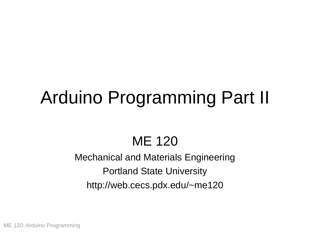# Arduino Programming Part II

### ME 120

#### Mechanical and Materials Engineering Portland State University http://web.cecs.pdx.edu/~me120

ME 120: Arduino Programming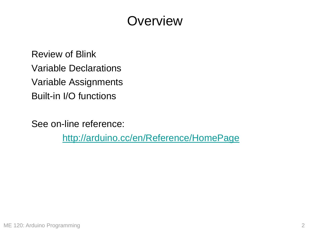#### **Overview**

Review of Blink Variable Declarations Variable Assignments Built-in I/O functions

See on-line reference:

<http://arduino.cc/en/Reference/HomePage>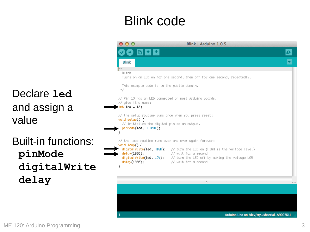### Blink code

Declare **led** and assign a value Built-in functions: **pinMode**

**digitalWrite delay**

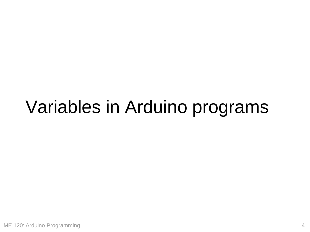## Variables in Arduino programs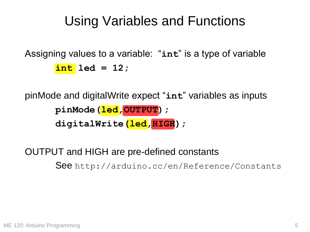#### Using Variables and Functions

```
Assigning values to a variable: "int" is a type of variable 
       int led = 12;
```

```
pinMode and digitalWrite expect "int" variables as inputs 
      pinMode(led,OUTPUT);
      digitalWrite(led,HIGH);
```
OUTPUT and HIGH are pre-defined constants See http://arduino.cc/en/Reference/Constants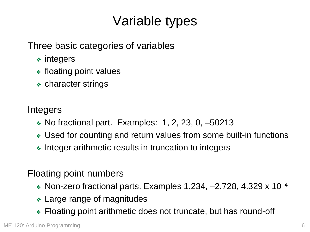### Variable types

Three basic categories of variables

- ❖ integers
- ❖ floating point values
- ❖ character strings

#### Integers

- $\bullet$  No fractional part. Examples: 1, 2, 23, 0,  $-50213$
- ❖ Used for counting and return values from some built-in functions
- ❖ Integer arithmetic results in truncation to integers

#### Floating point numbers

- $\bullet$  Non-zero fractional parts. Examples 1.234, -2.728, 4.329 x 10<sup>-4</sup>
- ❖ Large range of magnitudes
- ❖ Floating point arithmetic does not truncate, but has round-off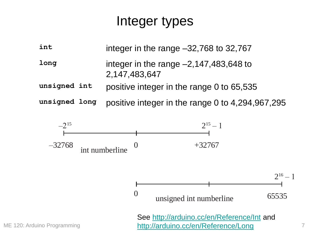#### Integer types

| int          | integer in the range $-32,768$ to $32,767$                |
|--------------|-----------------------------------------------------------|
| long         | integer in the range $-2,147,483,648$ to<br>2,147,483,647 |
| unsigned int | positive integer in the range 0 to 65,535                 |

**unsigned long** positive integer in the range 0 to 4,294,967,295



7

ME 120: Arduino Programming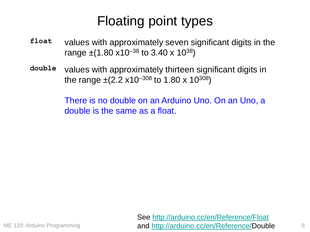### Floating point types

- **float** values with approximately seven significant digits in the range  $\pm$ (1.80 x10<sup>-38</sup> to 3.40 x 10<sup>38</sup>)
- **double** values with approximately thirteen significant digits in the range  $\pm$ (2.2 x10<sup>-308</sup> to 1.80 x 10<sup>308</sup>)

There is no double on an Arduino Uno. On an Uno, a double is the same as a float.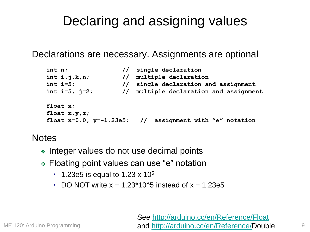#### Declaring and assigning values

Declarations are necessary. Assignments are optional

| int n;              |                | // single declaration                                         |  |  |  |
|---------------------|----------------|---------------------------------------------------------------|--|--|--|
| int i, j, k, n;     |                | // multiple declaration                                       |  |  |  |
| int $i=5$ ;         | $\prime\prime$ | single declaration and assignment                             |  |  |  |
| int $i=5$ , $j=2$ ; | $\frac{1}{2}$  | multiple declaration and assignment                           |  |  |  |
| float $x$ ;         |                |                                                               |  |  |  |
| float $x, y, z$ ;   |                |                                                               |  |  |  |
|                     |                | float $x=0.0$ , $y=-1.23e5$ ; // assignment with "e" notation |  |  |  |

#### **Notes**

- ❖ Integer values do not use decimal points
- ❖ Floating point values can use "e" notation
	- ↑ 1.23e5 is equal to 1.23 x 10<sup>5</sup>
	- DO NOT write  $x = 1.23*10<sup>4</sup>5$  instead of  $x = 1.23e5$

See <http://arduino.cc/en/Reference/Float> and [http://arduino.cc/en/Reference/D](http://arduino.cc/en/Reference/long)ouble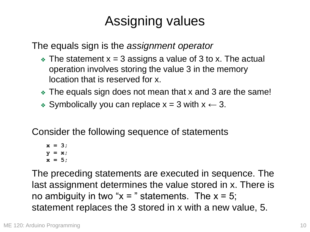## Assigning values

The equals sign is the *assignment operator*

- $\triangleleft$  The statement  $x = 3$  assigns a value of 3 to x. The actual operation involves storing the value 3 in the memory location that is reserved for x.
- ❖ The equals sign does not mean that x and 3 are the same!
- ❖ Symbolically you can replace x = 3 with x **←** 3.

Consider the following sequence of statements

**x = 3; y = x; x = 5;**

The preceding statements are executed in sequence. The last assignment determines the value stored in x. There is no ambiguity in two " $x =$ " statements. The  $x = 5$ ; statement replaces the 3 stored in x with a new value, 5.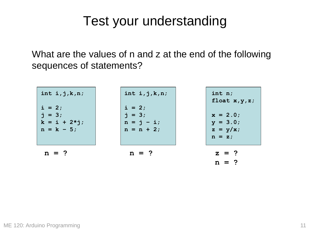#### Test your understanding

What are the values of n and z at the end of the following sequences of statements?

| int $i$ , $j$ , $k$ , $n$ ;<br>$i = 2;$<br>$j = 3;$<br>$k = i + 2 \star j;$<br>$n = k - 5$ ; | int $i$ , $j$ , $k$ , $n$ ;<br>$i = 2;$<br>$j = 3;$<br>$n = j - i;$<br>$n = n + 2;$ | int $n$ ;<br>float $x, y, z$ ;<br>$x = 2.0$ ;<br>$y = 3.0;$<br>$z = y/x;$<br>$n = z;$ |
|----------------------------------------------------------------------------------------------|-------------------------------------------------------------------------------------|---------------------------------------------------------------------------------------|
| $n = ?$                                                                                      | $n = ?$                                                                             | $z = ?$<br>$n = ?$                                                                    |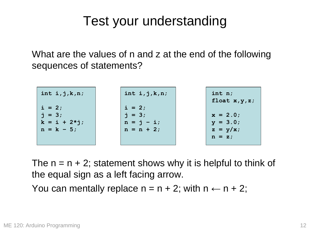#### Test your understanding

What are the values of n and z at the end of the following sequences of statements?

| int $i$ , $j$ , $k$ , $n$ ;                                         | int $i$ , $j$ , $k$ , $n$ ;                          | int n;<br>float $x, y, z$ ;                       |
|---------------------------------------------------------------------|------------------------------------------------------|---------------------------------------------------|
| $i = 2;$<br>$\dot{7} = 3;$<br>$k = i + 2 \star j;$<br>$n = k - 5$ ; | $i = 2;$<br>$j = 3;$<br>$n = j - i;$<br>$n = n + 2;$ | $x = 2.0$<br>$y = 3.0;$<br>$z = y/x;$<br>$n = z;$ |

The  $n = n + 2$ ; statement shows why it is helpful to think of the equal sign as a left facing arrow.

You can mentally replace  $n = n + 2$ ; with  $n \leftarrow n + 2$ ;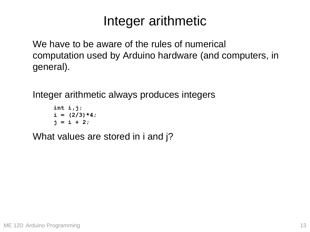We have to be aware of the rules of numerical computation used by Arduino hardware (and computers, in general).

Integer arithmetic always produces integers

```
int i,j;
i = (2/3) * 4;j = i + 2;
```
What values are stored in i and j?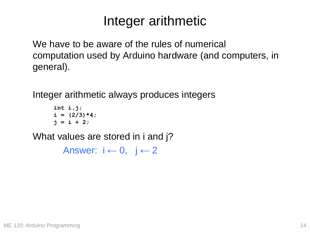We have to be aware of the rules of numerical computation used by Arduino hardware (and computers, in general).

Integer arithmetic always produces integers

```
int i,j;
i = (2/3) * 4;\dot{p} = i + 2;
```
What values are stored in i and j?

Answer: i **←** 0, j **←** 2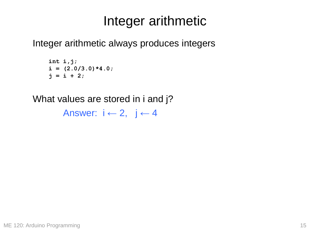Integer arithmetic always produces integers

**int i,j;**  $i = (2.0/3.0) * 4.0;$  $j = i + 2;$ 

What values are stored in i and j?

Answer: i **←** 2, j **←** 4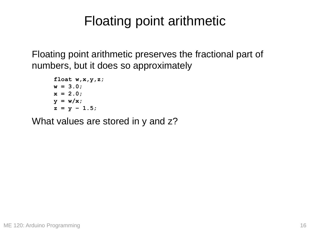Floating point arithmetic preserves the fractional part of numbers, but it does so approximately

**float w,x,y,z; w = 3.0; x = 2.0; y = w/x;**  $z = y - 1.5;$ 

What values are stored in y and z?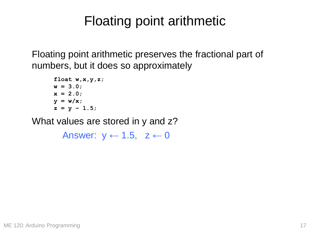Floating point arithmetic preserves the fractional part of numbers, but it does so approximately

**float w,x,y,z; w = 3.0; x = 2.0; y = w/x;**  $z = y - 1.5;$ 

What values are stored in y and z?

Answer: y **←** 1.5, z **←** 0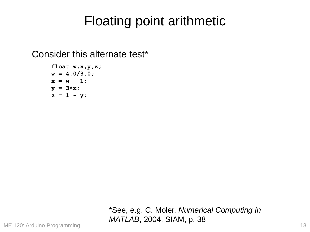Consider this alternate test\*

**float w,x,y,z; w = 4.0/3.0;**  $x = w - 1;$ **y = 3\*x;**  $z = 1 - y;$ 

> \*See, e.g. C. Moler, *Numerical Computing in MATLAB*, 2004, SIAM, p. 38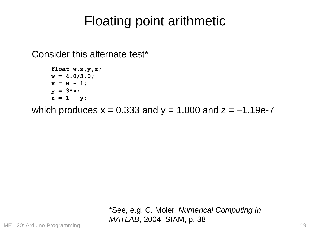Consider this alternate test\*

```
float w,x,y,z;
w = 4.0/3.0;
x = w - 1;y = 3*x;
z = 1 - y;
```
which produces  $x = 0.333$  and  $y = 1.000$  and  $z = -1.19e-7$ 

\*See, e.g. C. Moler, *Numerical Computing in MATLAB*, 2004, SIAM, p. 38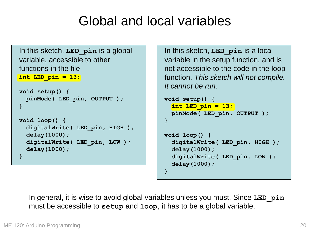#### Global and local variables

```
int LED_pin = 13;
void setup() {
  pinMode( LED_pin, OUTPUT );
}
void loop() {
  digitalWrite( LED_pin, HIGH );
  delay(1000);
  digitalWrite( LED_pin, LOW );
  delay(1000);
}
In this sketch, LED_pin is a global 
variable, accessible to other 
functions in the file
```
In this sketch, **LED\_pin** is a local variable in the setup function, and is not accessible to the code in the loop function. *This sketch will not compile. It cannot be run*.

```
void setup() {
  int LED_pin = 13;
 pinMode( LED_pin, OUTPUT );
}
```

```
void loop() {
  digitalWrite( LED_pin, HIGH );
 delay(1000);
  digitalWrite( LED_pin, LOW );
  delay(1000);
}
```
In general, it is wise to avoid global variables unless you must. Since **LED\_pin** must be accessible to **setup** and **loop**, it has to be a global variable.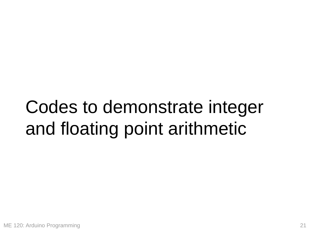# Codes to demonstrate integer and floating point arithmetic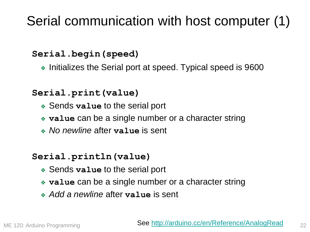### Serial communication with host computer (1)

#### **Serial.begin(speed)**

❖ Initializes the Serial port at speed. Typical speed is 9600

#### **Serial.print(value)**

- ❖ Sends **value** to the serial port
- ❖ **value** can be a single number or a character string
- ❖ *No newline* after **value** is sent

#### **Serial.println(value)**

- ❖ Sends **value** to the serial port
- ❖ **value** can be a single number or a character string
- ❖ *Add a newline* after **value** is sent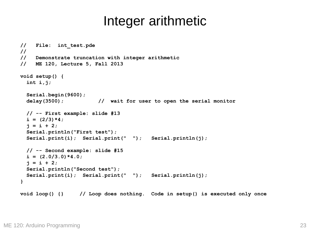```
// File: int_test.pde
//
// Demonstrate truncation with integer arithmetic
// ME 120, Lecture 5, Fall 2013 
void setup() {
  int i,j;
  Serial.begin(9600);
 delay(3500); // wait for user to open the serial monitor
 // -- First example: slide #13
  i = (2/3) * 4;\dot{p} = i + 2;Serial.println("First test"); 
  Serial.print(i); Serial.print(" "); Serial.println(j);
 // -- Second example: slide #15
  i = (2.0/3.0) * 4.0;\dot{p} = i + 2;Serial.println("Second test"); 
  Serial.print(i); Serial.print(" "); Serial.println(j); 
}
void loop() {} // Loop does nothing. Code in setup() is executed only once
```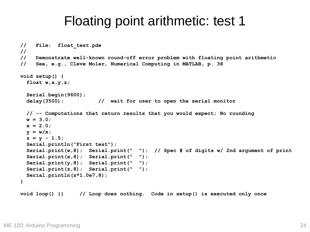#### Floating point arithmetic: test 1

```
// File: float_test.pde
//
// Demonstrate well-known round-off error problem with floating point arithmetic
// See, e.g., Cleve Moler, Numerical Computing in MATLAB, p. 38 
void setup() {
  float w,x,y,z;
  Serial.begin(9600);
  delay(3500); // wait for user to open the serial monitor
 // -- Computations that return results that you would expect; No rounding
 w = 3.0;
 x = 2.0;
 y = w/x;
  z = y - 1.5;Serial.println("First test"); 
  Serial.print(w,8); Serial.print(" "); // Spec # of digits w/ 2nd argument of print 
  Serial.print(x,8); Serial.print(" ");
  Serial.print(y,8); Serial.print(" ");
  Serial.print(z,8); Serial.print(" ");
  Serial.println(z*1.0e7,8);
}
void loop() {} // Loop does nothing. Code in setup() is executed only once
```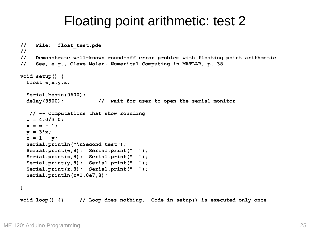#### Floating point arithmetic: test 2

```
// File: float_test.pde
//
// Demonstrate well-known round-off error problem with floating point arithmetic
// See, e.g., Cleve Moler, Numerical Computing in MATLAB, p. 38 
void setup() {
  float w,x,y,z;
  Serial.begin(9600);
  delay(3500); // wait for user to open the serial monitor
  // -- Computations that show rounding
 w = 4.0/3.0;
 x = w - 1;y = 3*x;
  z = 1 - y;Serial.println("\nSecond test"); 
  Serial.print(w,8); Serial.print(" ");
  Serial.print(x,8); Serial.print(" ");
  Serial.print(y,8); Serial.print(" ");
  Serial.print(z,8); Serial.print(" ");
  Serial.println(z*1.0e7,8);
}
void loop() {} // Loop does nothing. Code in setup() is executed only once
```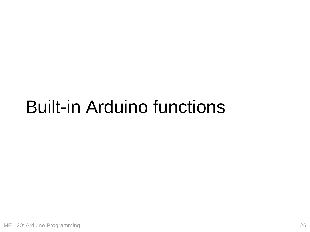## Built-in Arduino functions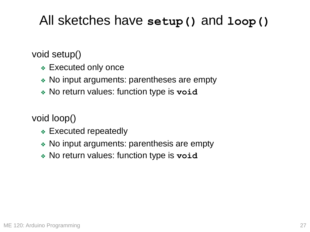#### All sketches have **setup()** and **loop()**

void setup()

- ❖ Executed only once
- ❖ No input arguments: parentheses are empty
- ❖ No return values: function type is **void**

void loop()

- ❖ Executed repeatedly
- ❖ No input arguments: parenthesis are empty
- ❖ No return values: function type is **void**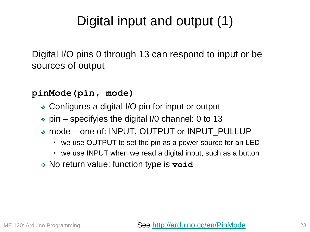### Digital input and output (1)

Digital I/O pins 0 through 13 can respond to input or be sources of output

**pinMode(pin, mode)**

- ❖ Configures a digital I/O pin for input or output
- ❖ pin specifyies the digital I/0 channel: 0 to 13
- ❖ mode one of: INPUT, OUTPUT or INPUT\_PULLUP
	- ‣ we use OUTPUT to set the pin as a power source for an LED
	- ‣ we use INPUT when we read a digital input, such as a button
- ❖ No return value: function type is **void**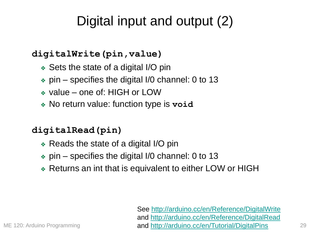### Digital input and output (2)

#### **digitalWrite(pin,value)**

- ❖ Sets the state of a digital I/O pin
- ❖ pin specifies the digital I/0 channel: 0 to 13
- ❖ value one of: HIGH or LOW
- ❖ No return value: function type is **void**

#### **digitalRead(pin)**

- ❖ Reads the state of a digital I/O pin
- $\bullet$  pin specifies the digital I/0 channel: 0 to 13
- ❖ Returns an int that is equivalent to either LOW or HIGH

See <http://arduino.cc/en/Reference/DigitalWrite> and <http://arduino.cc/en/Reference/DigitalRead> and <http://arduino.cc/en/Tutorial/DigitalPins>